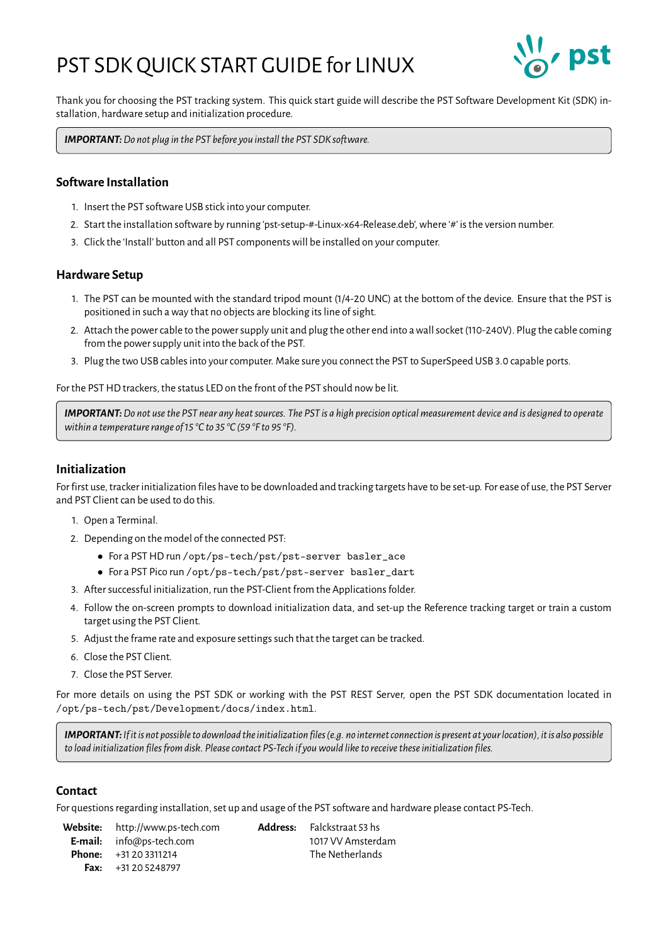# PST SDK QUICK START GUIDE for LINUX



Thank you for choosing the PST tracking system. This quick start guide will describe the PST Software Development Kit (SDK) installation, hardware setup and initialization procedure.

*IMPORTANT:Do not plug in the PST before you install the PST SDK software.*

## **Software Installation**

- 1. Insert the PST software USB stick into your computer.
- 2. Start the installation software by running 'pst-setup-#-Linux-x64-Release.deb', where '#' is the version number.
- 3. Click the 'Install' button and all PST components will be installed on your computer.

#### **Hardware Setup**

- 1. The PST can be mounted with the standard tripod mount (1/4-20 UNC) at the bottom of the device. Ensure that the PST is positioned in such a way that no objects are blocking its line of sight.
- 2. Attach the power cable to the power supply unit and plug the other end into a wall socket (110-240V). Plug the cable coming from the power supply unit into the back of the PST.
- 3. Plug the two USB cables into your computer. Make sure you connect the PST to SuperSpeed USB 3.0 capable ports.

For the PST HD trackers, the status LED on the front of the PST should now be lit.

*IMPORTANT:Do not use the PST near any heat sources. The PST is a high precision optical measurement device and is designed to operate within a temperature range of 15 °C to 35 °C (59 °F to 95 °F).*

# **Initialization**

For first use, tracker initialization files have to be downloaded and tracking targets have to be set-up. For ease of use, the PST Server and PST Client can be used to do this.

- 1. Open a Terminal.
- 2. Depending on the model of the connected PST:
	- For a PST HD run /opt/ps-tech/pst/pst-server basler\_ace
	- For a PST Pico run /opt/ps-tech/pst/pst-server basler\_dart
- 3. After successful initialization, run the PST-Client from the Applications folder.
- 4. Follow the on-screen prompts to download initialization data, and set-up the Reference tracking target or train a custom target using the PST Client.
- 5. Adjust the frame rate and exposure settings such that the target can be tracked.
- 6. Close the PST Client.
- 7. Close the PST Server.

For more details on using the PST SDK or working with the PST REST Server, open the PST SDK documentation located in /opt/ps-tech/pst/Development/docs/index.html.

*IMPORTANT:If it is not possible to download the initializationfiles(e.g. no internet connection is present at your location), it is also possible to load initialization files from disk. Please contact PS-Tech if you would like to receive these initialization files.*

## **Contact**

For questions regarding installation, set up and usage of the PST software and hardware please contact PS-Tech.

**Website:** <http://www.ps-tech.com> **Address:** Falckstraat 53 hs **E-mail:** [info@ps-tech.com](mailto:info@ps-tech.com) 1017 VV Amsterdam **Phone:** +31 20 3311214 The Netherlands **Fax:** +31 20 5248797